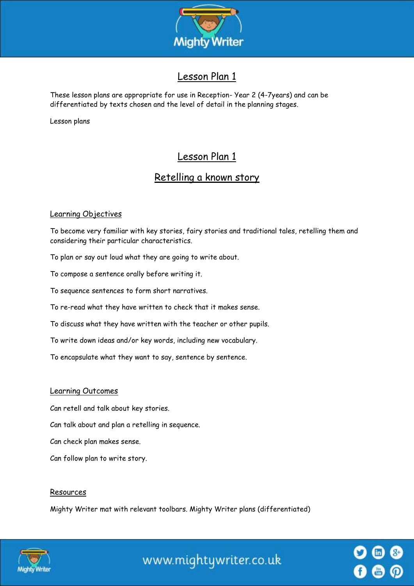

# Lesson Plan 1

These lesson plans are appropriate for use in Reception- Year 2 (4-7years) and can be differentiated by texts chosen and the level of detail in the planning stages.

Lesson plans

# Lesson Plan 1

# Retelling a known story

## Learning Objectives

To become very familiar with key stories, fairy stories and traditional tales, retelling them and considering their particular characteristics.

To plan or say out loud what they are going to write about.

To compose a sentence orally before writing it.

To sequence sentences to form short narratives.

To re-read what they have written to check that it makes sense.

To discuss what they have written with the teacher or other pupils.

To write down ideas and/or key words, including new vocabulary.

To encapsulate what they want to say, sentence by sentence.

#### Learning Outcomes

Can retell and talk about key stories.

Can talk about and plan a retelling in sequence.

Can check plan makes sense.

Can follow plan to write story.

#### Resources

Mighty Writer mat with relevant toolbars. Mighty Writer plans (differentiated)



www.mightywriter.co.uk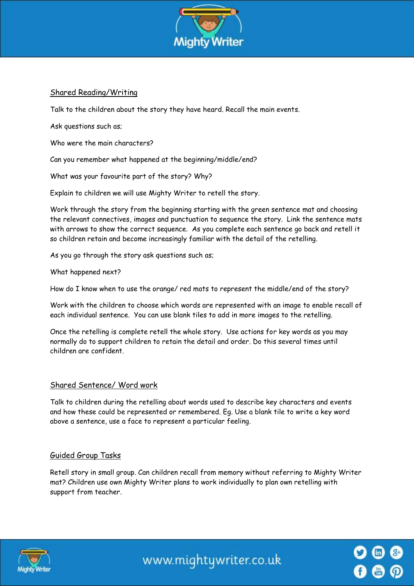

### Shared Reading/Writing

Talk to the children about the story they have heard. Recall the main events.

Ask questions such as;

Who were the main characters?

Can you remember what happened at the beginning/middle/end?

What was your favourite part of the story? Why?

Explain to children we will use Mighty Writer to retell the story.

Work through the story from the beginning starting with the green sentence mat and choosing the relevant connectives, images and punctuation to sequence the story. Link the sentence mats with arrows to show the correct sequence. As you complete each sentence go back and retell it so children retain and become increasingly familiar with the detail of the retelling.

As you go through the story ask questions such as;

What happened next?

How do I know when to use the orange/ red mats to represent the middle/end of the story?

Work with the children to choose which words are represented with an image to enable recall of each individual sentence. You can use blank tiles to add in more images to the retelling.

Once the retelling is complete retell the whole story. Use actions for key words as you may normally do to support children to retain the detail and order. Do this several times until children are confident.

### Shared Sentence/ Word work

Talk to children during the retelling about words used to describe key characters and events and how these could be represented or remembered. Eg. Use a blank tile to write a key word above a sentence, use a face to represent a particular feeling.

### Guided Group Tasks

Retell story in small group. Can children recall from memory without referring to Mighty Writer mat? Children use own Mighty Writer plans to work individually to plan own retelling with support from teacher.